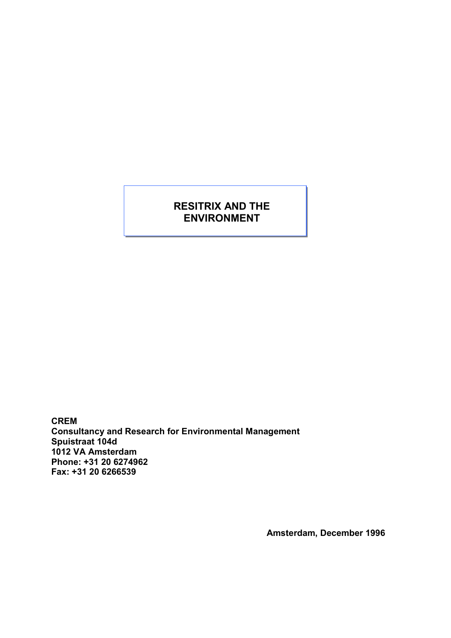# RESITRIX AND THE ENVIRONMENT

CREM Consultancy and Research for Environmental Management Spuistraat 104d 1012 VA Amsterdam Phone: +31 20 6274962 Fax: +31 20 6266539

Amsterdam, December 1996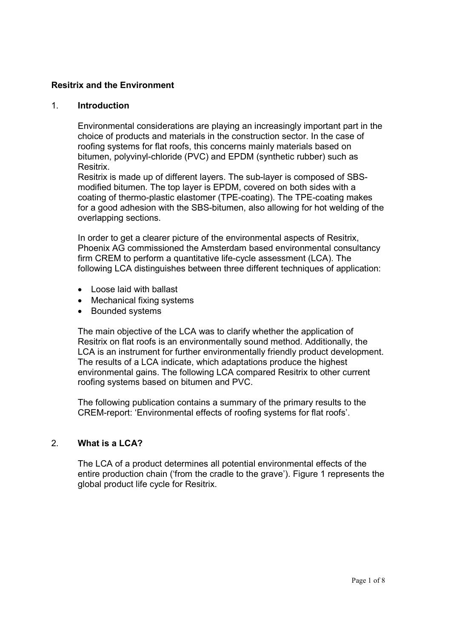# Resitrix and the Environment

#### 1. Introduction

Environmental considerations are playing an increasingly important part in the choice of products and materials in the construction sector. In the case of roofing systems for flat roofs, this concerns mainly materials based on bitumen, polyvinyl-chloride (PVC) and EPDM (synthetic rubber) such as Resitrix.

Resitrix is made up of different layers. The sub-layer is composed of SBSmodified bitumen. The top layer is EPDM, covered on both sides with a coating of thermo-plastic elastomer (TPE-coating). The TPE-coating makes for a good adhesion with the SBS-bitumen, also allowing for hot welding of the overlapping sections.

In order to get a clearer picture of the environmental aspects of Resitrix, Phoenix AG commissioned the Amsterdam based environmental consultancy firm CREM to perform a quantitative life-cycle assessment (LCA). The following LCA distinguishes between three different techniques of application:

- Loose laid with ballast
- Mechanical fixing systems
- Bounded systems

The main objective of the LCA was to clarify whether the application of Resitrix on flat roofs is an environmentally sound method. Additionally, the LCA is an instrument for further environmentally friendly product development. The results of a LCA indicate, which adaptations produce the highest environmental gains. The following LCA compared Resitrix to other current roofing systems based on bitumen and PVC.

The following publication contains a summary of the primary results to the CREM-report: 'Environmental effects of roofing systems for flat roofs'.

# 2. What is a LCA?

The LCA of a product determines all potential environmental effects of the entire production chain ('from the cradle to the grave'). Figure 1 represents the global product life cycle for Resitrix.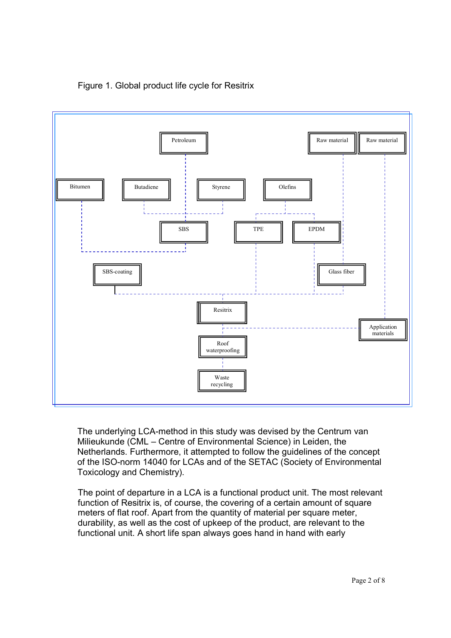



The underlying LCA-method in this study was devised by the Centrum van Milieukunde (CML – Centre of Environmental Science) in Leiden, the Netherlands. Furthermore, it attempted to follow the guidelines of the concept of the ISO-norm 14040 for LCAs and of the SETAC (Society of Environmental Toxicology and Chemistry).

The point of departure in a LCA is a functional product unit. The most relevant function of Resitrix is, of course, the covering of a certain amount of square meters of flat roof. Apart from the quantity of material per square meter, durability, as well as the cost of upkeep of the product, are relevant to the functional unit. A short life span always goes hand in hand with early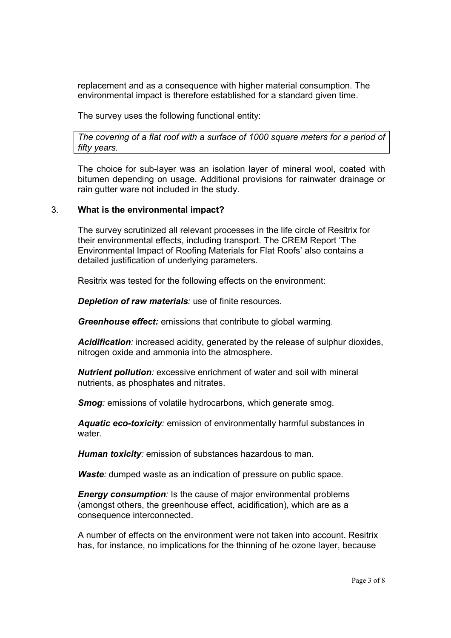replacement and as a consequence with higher material consumption. The environmental impact is therefore established for a standard given time.

The survey uses the following functional entity:

The covering of a flat roof with a surface of 1000 square meters for a period of fifty years.

The choice for sub-layer was an isolation layer of mineral wool, coated with bitumen depending on usage. Additional provisions for rainwater drainage or rain gutter ware not included in the study.

#### 3. What is the environmental impact?

The survey scrutinized all relevant processes in the life circle of Resitrix for their environmental effects, including transport. The CREM Report 'The Environmental Impact of Roofing Materials for Flat Roofs' also contains a detailed justification of underlying parameters.

Resitrix was tested for the following effects on the environment:

**Depletion of raw materials**: use of finite resources.

Greenhouse effect: emissions that contribute to global warming.

**Acidification**: increased acidity, generated by the release of sulphur dioxides, nitrogen oxide and ammonia into the atmosphere.

**Nutrient pollution:** excessive enrichment of water and soil with mineral nutrients, as phosphates and nitrates.

**Smog:** emissions of volatile hydrocarbons, which generate smog.

Aquatic eco-toxicity: emission of environmentally harmful substances in water.

Human toxicity: emission of substances hazardous to man.

Waste: dumped waste as an indication of pressure on public space.

**Energy consumption:** Is the cause of major environmental problems (amongst others, the greenhouse effect, acidification), which are as a consequence interconnected.

A number of effects on the environment were not taken into account. Resitrix has, for instance, no implications for the thinning of he ozone layer, because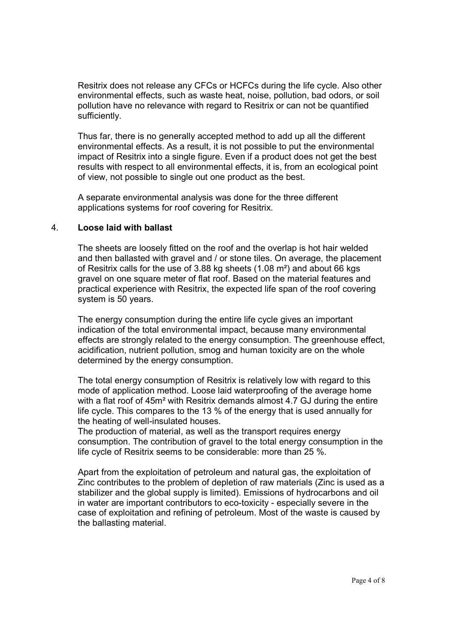Resitrix does not release any CFCs or HCFCs during the life cycle. Also other environmental effects, such as waste heat, noise, pollution, bad odors, or soil pollution have no relevance with regard to Resitrix or can not be quantified sufficiently.

Thus far, there is no generally accepted method to add up all the different environmental effects. As a result, it is not possible to put the environmental impact of Resitrix into a single figure. Even if a product does not get the best results with respect to all environmental effects, it is, from an ecological point of view, not possible to single out one product as the best.

A separate environmental analysis was done for the three different applications systems for roof covering for Resitrix.

#### 4. Loose laid with ballast

The sheets are loosely fitted on the roof and the overlap is hot hair welded and then ballasted with gravel and / or stone tiles. On average, the placement of Resitrix calls for the use of 3.88 kg sheets (1.08 m²) and about 66 kgs gravel on one square meter of flat roof. Based on the material features and practical experience with Resitrix, the expected life span of the roof covering system is 50 years.

The energy consumption during the entire life cycle gives an important indication of the total environmental impact, because many environmental effects are strongly related to the energy consumption. The greenhouse effect, acidification, nutrient pollution, smog and human toxicity are on the whole determined by the energy consumption.

The total energy consumption of Resitrix is relatively low with regard to this mode of application method. Loose laid waterproofing of the average home with a flat roof of 45m<sup>2</sup> with Resitrix demands almost 4.7 GJ during the entire life cycle. This compares to the 13 % of the energy that is used annually for the heating of well-insulated houses.

The production of material, as well as the transport requires energy consumption. The contribution of gravel to the total energy consumption in the life cycle of Resitrix seems to be considerable: more than 25 %.

Apart from the exploitation of petroleum and natural gas, the exploitation of Zinc contributes to the problem of depletion of raw materials (Zinc is used as a stabilizer and the global supply is limited). Emissions of hydrocarbons and oil in water are important contributors to eco-toxicity - especially severe in the case of exploitation and refining of petroleum. Most of the waste is caused by the ballasting material.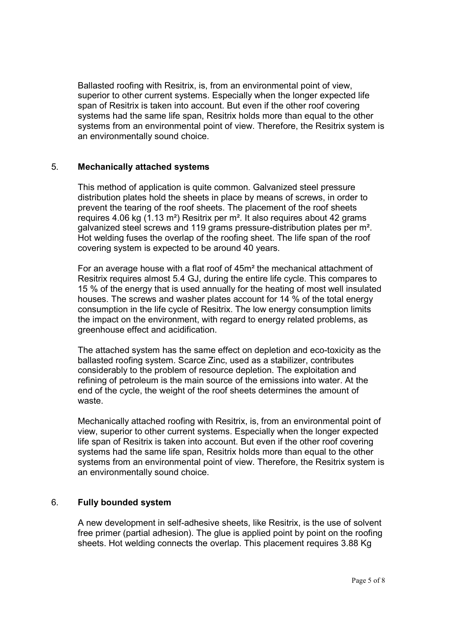Ballasted roofing with Resitrix, is, from an environmental point of view, superior to other current systems. Especially when the longer expected life span of Resitrix is taken into account. But even if the other roof covering systems had the same life span, Resitrix holds more than equal to the other systems from an environmental point of view. Therefore, the Resitrix system is an environmentally sound choice.

# 5. Mechanically attached systems

This method of application is quite common. Galvanized steel pressure distribution plates hold the sheets in place by means of screws, in order to prevent the tearing of the roof sheets. The placement of the roof sheets requires 4.06 kg (1.13 m²) Resitrix per m². It also requires about 42 grams galvanized steel screws and 119 grams pressure-distribution plates per m². Hot welding fuses the overlap of the roofing sheet. The life span of the roof covering system is expected to be around 40 years.

For an average house with a flat roof of 45m² the mechanical attachment of Resitrix requires almost 5.4 GJ, during the entire life cycle. This compares to 15 % of the energy that is used annually for the heating of most well insulated houses. The screws and washer plates account for 14 % of the total energy consumption in the life cycle of Resitrix. The low energy consumption limits the impact on the environment, with regard to energy related problems, as greenhouse effect and acidification.

The attached system has the same effect on depletion and eco-toxicity as the ballasted roofing system. Scarce Zinc, used as a stabilizer, contributes considerably to the problem of resource depletion. The exploitation and refining of petroleum is the main source of the emissions into water. At the end of the cycle, the weight of the roof sheets determines the amount of waste.

Mechanically attached roofing with Resitrix, is, from an environmental point of view, superior to other current systems. Especially when the longer expected life span of Resitrix is taken into account. But even if the other roof covering systems had the same life span, Resitrix holds more than equal to the other systems from an environmental point of view. Therefore, the Resitrix system is an environmentally sound choice.

# 6. Fully bounded system

A new development in self-adhesive sheets, like Resitrix, is the use of solvent free primer (partial adhesion). The glue is applied point by point on the roofing sheets. Hot welding connects the overlap. This placement requires 3.88 Kg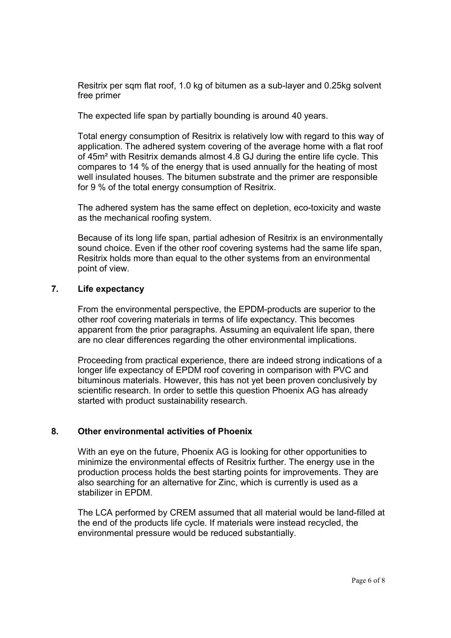Resitrix per sqm flat roof, 1.0 kg of bitumen as a sub-layer and 0.25kg solvent free primer

The expected life span by partially bounding is around 40 years.

Total energy consumption of Resitrix is relatively low with regard to this way of application. The adhered system covering of the average home with a flat roof of 45m² with Resitrix demands almost 4.8 GJ during the entire life cycle. This compares to 14 % of the energy that is used annually for the heating of most well insulated houses. The bitumen substrate and the primer are responsible for 9 % of the total energy consumption of Resitrix.

The adhered system has the same effect on depletion, eco-toxicity and waste as the mechanical roofing system.

Because of its long life span, partial adhesion of Resitrix is an environmentally sound choice. Even if the other roof covering systems had the same life span, Resitrix holds more than equal to the other systems from an environmental point of view.

#### 7. Life expectancy

From the environmental perspective, the EPDM-products are superior to the other roof covering materials in terms of life expectancy. This becomes apparent from the prior paragraphs. Assuming an equivalent life span, there are no clear differences regarding the other environmental implications.

Proceeding from practical experience, there are indeed strong indications of a longer life expectancy of EPDM roof covering in comparison with PVC and bituminous materials. However, this has not yet been proven conclusively by scientific research. In order to settle this question Phoenix AG has already started with product sustainability research.

# 8. Other environmental activities of Phoenix

With an eye on the future, Phoenix AG is looking for other opportunities to minimize the environmental effects of Resitrix further. The energy use in the production process holds the best starting points for improvements. They are also searching for an alternative for Zinc, which is currently is used as a stabilizer in EPDM.

The LCA performed by CREM assumed that all material would be land-filled at the end of the products life cycle. If materials were instead recycled, the environmental pressure would be reduced substantially.